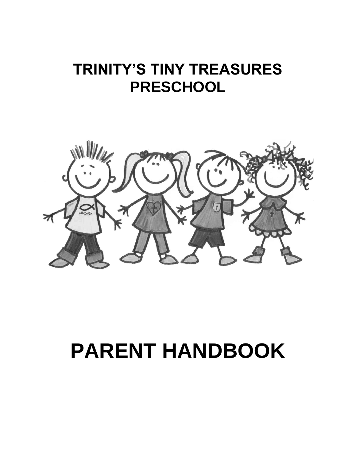# **TRINITY'S TINY TREASURES PRESCHOOL**



# **PARENT HANDBOOK**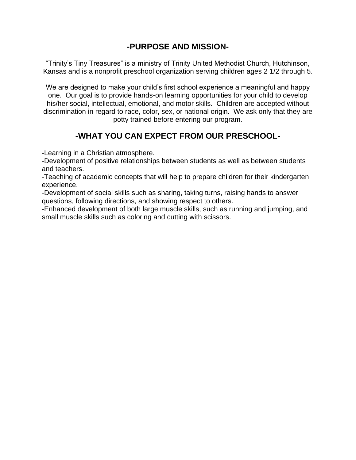#### **-PURPOSE AND MISSION-**

"Trinity's Tiny Treasures" is a ministry of Trinity United Methodist Church, Hutchinson, Kansas and is a nonprofit preschool organization serving children ages 2 1/2 through 5.

We are designed to make your child's first school experience a meaningful and happy one. Our goal is to provide hands-on learning opportunities for your child to develop his/her social, intellectual, emotional, and motor skills. Children are accepted without discrimination in regard to race, color, sex, or national origin. We ask only that they are potty trained before entering our program.

#### **-WHAT YOU CAN EXPECT FROM OUR PRESCHOOL-**

-Learning in a Christian atmosphere.

-Development of positive relationships between students as well as between students and teachers.

-Teaching of academic concepts that will help to prepare children for their kindergarten experience.

-Development of social skills such as sharing, taking turns, raising hands to answer questions, following directions, and showing respect to others.

-Enhanced development of both large muscle skills, such as running and jumping, and small muscle skills such as coloring and cutting with scissors.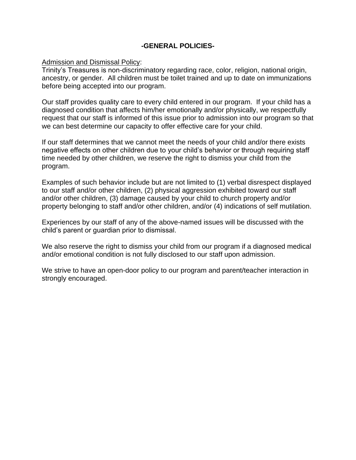#### **-GENERAL POLICIES-**

#### Admission and Dismissal Policy:

Trinity's Treasures is non-discriminatory regarding race, color, religion, national origin, ancestry, or gender. All children must be toilet trained and up to date on immunizations before being accepted into our program.

Our staff provides quality care to every child entered in our program. If your child has a diagnosed condition that affects him/her emotionally and/or physically, we respectfully request that our staff is informed of this issue prior to admission into our program so that we can best determine our capacity to offer effective care for your child.

If our staff determines that we cannot meet the needs of your child and/or there exists negative effects on other children due to your child's behavior or through requiring staff time needed by other children, we reserve the right to dismiss your child from the program.

Examples of such behavior include but are not limited to (1) verbal disrespect displayed to our staff and/or other children, (2) physical aggression exhibited toward our staff and/or other children, (3) damage caused by your child to church property and/or property belonging to staff and/or other children, and/or (4) indications of self mutilation.

Experiences by our staff of any of the above-named issues will be discussed with the child's parent or guardian prior to dismissal.

We also reserve the right to dismiss your child from our program if a diagnosed medical and/or emotional condition is not fully disclosed to our staff upon admission.

We strive to have an open-door policy to our program and parent/teacher interaction in strongly encouraged.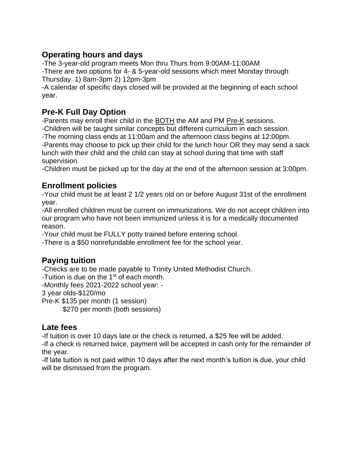#### **Operating hours and days**

-The 3-year-old program meets Mon thru Thurs from 9:00AM-11:00AM -There are two options for 4- & 5-year-old sessions which meet Monday through Thursday. 1) 8am-3pm 2) 12pm-3pm

-A calendar of specific days closed will be provided at the beginning of each school year.

## **Pre-K Full Day Option**

-Parents may enroll their child in the **BOTH** the AM and PM Pre-K sessions. -Children will be taught similar concepts but different curriculum in each session. -The morning class ends at 11:00am and the afternoon class begins at 12:00pm. -Parents may choose to pick up their child for the lunch hour OR they may send a sack lunch with their child and the child can stay at school during that time with staff supervision.

-Children must be picked up for the day at the end of the afternoon session at 3:00pm.

#### **Enrollment policies**

-Your child must be at least 2 1/2 years old on or before August 31st of the enrollment year.

-All enrolled children must be current on immunizations. We do not accept children into our program who have not been immunized unless it is for a medically documented reason.

-Your child must be FULLY potty trained before entering school.

-There is a \$50 nonrefundable enrollment fee for the school year.

## **Paying tuition**

-Checks are to be made payable to Trinity United Methodist Church.

-Tuition is due on the 1st of each month.

-Monthly fees 2021-2022 school year: -

3 year olds-\$120/mo

Pre-K \$135 per month (1 session)

\$270 per month (both sessions)

#### **Late fees**

-If tuition is over 10 days late or the check is returned, a \$25 fee will be added.

-If a check is returned twice, payment will be accepted in cash only for the remainder of the year.

-If late tuition is not paid within 10 days after the next month's tuition is due, your child will be dismissed from the program.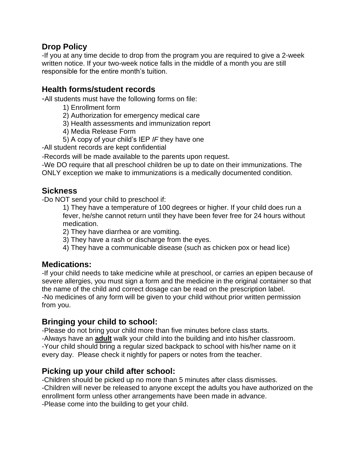#### **Drop Policy**

-If you at any time decide to drop from the program you are required to give a 2-week written notice. If your two-week notice falls in the middle of a month you are still responsible for the entire month's tuition.

#### **Health forms/student records**

-All students must have the following forms on file:

- 1) Enrollment form
- 2) Authorization for emergency medical care
- 3) Health assessments and immunization report
- 4) Media Release Form
- 5) A copy of your child's IEP *IF* they have one

-All student records are kept confidential

-Records will be made available to the parents upon request.

-We DO require that all preschool children be up to date on their immunizations. The ONLY exception we make to immunizations is a medically documented condition.

#### **Sickness**

-Do NOT send your child to preschool if:

1) They have a temperature of 100 degrees or higher. If your child does run a fever, he/she cannot return until they have been fever free for 24 hours without medication.

2) They have diarrhea or are vomiting.

- 3) They have a rash or discharge from the eyes.
- 4) They have a communicable disease (such as chicken pox or head lice)

#### **Medications:**

-If your child needs to take medicine while at preschool, or carries an epipen because of severe allergies, you must sign a form and the medicine in the original container so that the name of the child and correct dosage can be read on the prescription label. -No medicines of any form will be given to your child without prior written permission from you.

#### **Bringing your child to school:**

-Please do not bring your child more than five minutes before class starts. -Always have an **adult** walk your child into the building and into his/her classroom.

-Your child should bring a regular sized backpack to school with his/her name on it every day. Please check it nightly for papers or notes from the teacher.

#### **Picking up your child after school:**

-Children should be picked up no more than 5 minutes after class dismisses. -Children will never be released to anyone except the adults you have authorized on the enrollment form unless other arrangements have been made in advance. -Please come into the building to get your child.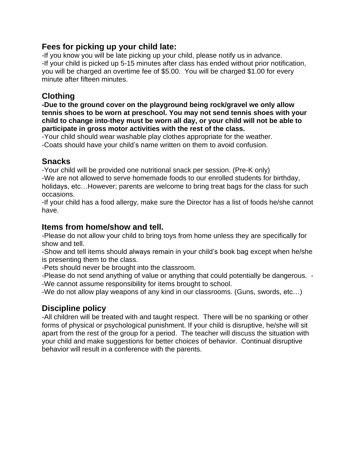#### **Fees for picking up your child late:**

-If you know you will be late picking up your child, please notify us in advance. -If your child is picked up 5-15 minutes after class has ended without prior notification, you will be charged an overtime fee of \$5.00. You will be charged \$1.00 for every minute after fifteen minutes.

#### **Clothing**

**-Due to the ground cover on the playground being rock/gravel we only allow tennis shoes to be worn at preschool. You may not send tennis shoes with your child to change into-they must be worn all day, or your child will not be able to participate in gross motor activities with the rest of the class.**

-Your child should wear washable play clothes appropriate for the weather. -Coats should have your child's name written on them to avoid confusion.

#### **Snacks**

-Your child will be provided one nutritional snack per session. (Pre-K only) -We are not allowed to serve homemade foods to our enrolled students for birthday, holidays, etc…However; parents are welcome to bring treat bags for the class for such occasions.

-If your child has a food allergy, make sure the Director has a list of foods he/she cannot have.

#### **Items from home/show and tell.**

-Please do not allow your child to bring toys from home unless they are specifically for show and tell.

-Show and tell items should always remain in your child's book bag except when he/she is presenting them to the class.

-Pets should never be brought into the classroom.

-Please do not send anything of value or anything that could potentially be dangerous. - -We cannot assume responsibility for items brought to school.

-We do not allow play weapons of any kind in our classrooms. (Guns, swords, etc…)

#### **Discipline policy**

-All children will be treated with and taught respect. There will be no spanking or other forms of physical or psychological punishment. If your child is disruptive, he/she will sit apart from the rest of the group for a period. The teacher will discuss the situation with your child and make suggestions for better choices of behavior. Continual disruptive behavior will result in a conference with the parents.